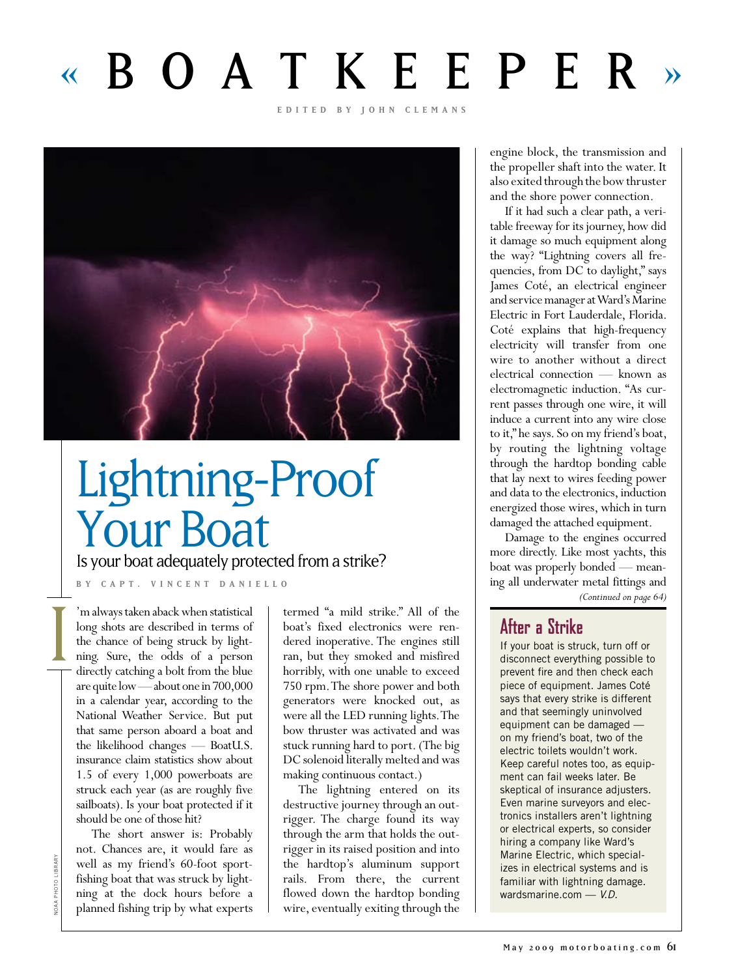# « BOATKEEPER »

**edi t ed by j o h n c le m a n s**



## Lightning-Proof Your Boat

Is your boat adequately protected from a strike?

**BY capt. VIN C E N T D A NIELLO**

'm always taken aback when statistical long shots are described in terms of the chance of being struck by lightning. Sure, the odds of a person directly catching a bolt from the blue are quite low — about one in 700,000 in a calendar year, according to the National Weather Service. But put that same person aboard a boat and the likelihood changes — BoatU.S. insurance claim statistics show about 1.5 of every 1,000 powerboats are struck each year (as are roughly five sailboats). Is your boat protected if it should be one of those hit?

The short answer is: Probably not. Chances are, it would fare as well as my friend's 60-foot sportfishing boat that was struck by lightning at the dock hours before a planned fishing trip by what experts

termed "a mild strike." All of the boat's fixed electronics were rendered inoperative. The engines still ran, but they smoked and misfired horribly, with one unable to exceed 750 rpm. The shore power and both generators were knocked out, as were all the LED running lights. The bow thruster was activated and was stuck running hard to port. (The big DC solenoid literally melted and was making continuous contact.)

The lightning entered on its destructive journey through an outrigger. The charge found its way through the arm that holds the outrigger in its raised position and into the hardtop's aluminum support rails. From there, the current flowed down the hardtop bonding wire, eventually exiting through the

engine block, the transmission and the propeller shaft into the water. It also exited through the bow thruster and the shore power connection.

If it had such a clear path, a veritable freeway for its journey, how did it damage so much equipment along the way? "Lightning covers all frequencies, from DC to daylight," says James Coté, an electrical engineer and service manager at Ward's Marine Electric in Fort Lauderdale, Florida. Coté explains that high-frequency electricity will transfer from one wire to another without a direct electrical connection — known as electromagnetic induction. "As current passes through one wire, it will induce a current into any wire close to it," he says. So on my friend's boat, by routing the lightning voltage through the hardtop bonding cable that lay next to wires feeding power and data to the electronics, induction energized those wires, which in turn damaged the attached equipment.

Damage to the engines occurred more directly. Like most yachts, this boat was properly bonded — meaning all underwater metal fittings and

*(Continued on page 64)*

## **After a Strike**

If your boat is struck, turn off or disconnect everything possible to prevent fire and then check each piece of equipment. James Coté says that every strike is different and that seemingly uninvolved equipment can be damaged on my friend's boat, two of the electric toilets wouldn't work. Keep careful notes too, as equipment can fail weeks later. Be skeptical of insurance adjusters. Even marine surveyors and electronics installers aren't lightning or electrical experts, so consider hiring a company like Ward's Marine Electric, which specializes in electrical systems and is familiar with lightning damage. wardsmarine.com — *V.D.*

**JOAA PHOTO LIBRARY** NOAA PHOTO LIBRARY

 $\frac{1}{1}$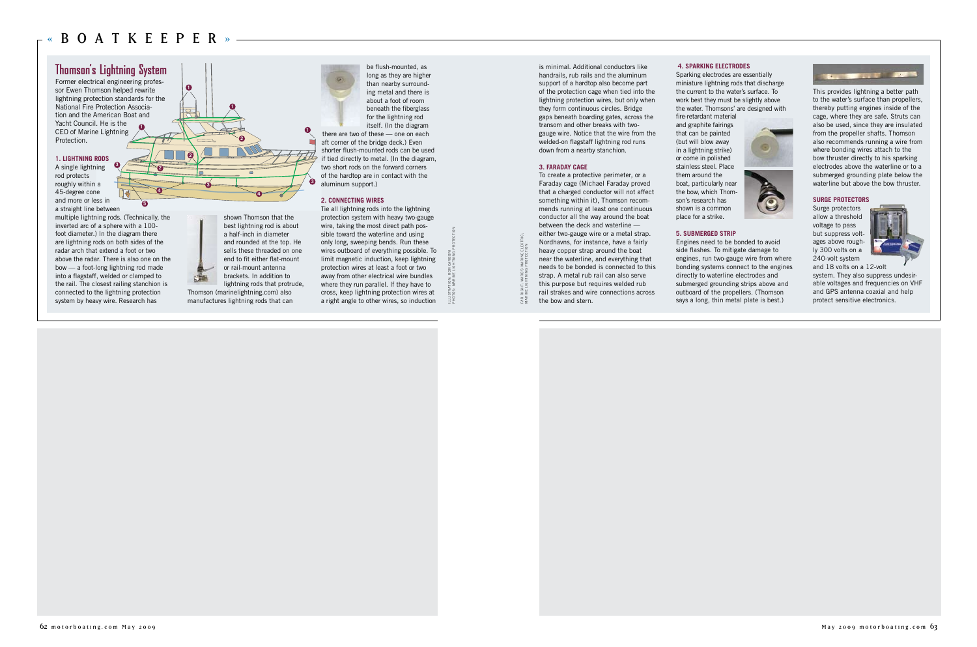

## **STORE OF THE**

#### **1. LIGHTNING RODS**

multiple lightning rods. (Technically, the inverted arc of a sphere with a 100 foot diameter.) In the diagram there are lightning rods on both sides of the radar arch that extend a foot or two above the radar. There is also one on the bow — a foot-long lightning rod made into a flagstaff, welded or clamped to the rail. The closest railing stanchion is connected to the lightning protection system by heavy wire. Research has

## **Thomson's Lightning System**

Former electrical engineering professor Ewen Thomson helped rewrite lightning protection standards for the National Fire Protection Association and the American Boat and Yacht Council. He is the CEO of Marine Lightning Protection.

> shown Thomson that the best lightning rod is about and rounded at the top. He sells these threaded on one end to fit either flat-mount lightning rods that protrude,



Thomson (marinelightning.com) also manufactures lightning rods that can be flush-mounted, as long as they are higher

than nearby surrounding metal and there is about a foot of room beneath the fiberglass for the lightning rod itself. (In the diagram there are two of these — one on each aft corner of the bridge deck.) Even shorter flush-mounted rods can be used if tied directly to metal. (In the diagram, two short rods on the forward corners of the hardtop are in contact with the

aluminum support.)

#### **2. CONNECTING WIRES**

Tie all lightning rods into the lightning protection system with heavy two-gauge wire, taking the most direct path possible toward the waterline and using only long, sweeping bends. Run these wires outboard of everything possible. To limit magnetic induction, keep lightning protection wires at least a foot or two away from other electrical wire bundles where they run parallel. If they have to cross, keep lightning protection wires at a right angle to other wires, so induction

is minimal. Additional conductors like handrails, rub rails and the aluminum support of a hardtop also become part lightning protection wires, but only when they form continuous circles. Bridge gaps beneath boarding gates, across the transom and other breaks with twogauge wire. Notice that the wire from the welded-on flagstaff lightning rod runs down from a nearby stanchion.

**of** the protection cage when tied into the the current to the water's surface. To This provides lightning a better path ing metal and there is **1 1 1 1 1 1 1 1 1 <sup>3</sup> <sup>3</sup> 2 2 <sup>4</sup> <sup>4</sup> 2**

A single lightning rod protects roughly within a 45-degree cone and more or less in a straight line between **3**

#### **3. FARADAY CAGE**

To create a protective perimeter, or a Faraday cage (Michael Faraday proved that a charged conductor will not affect something within it), Thomson recommends running at least one continuous conductor all the way around the boat between the deck and waterline either two-gauge wire or a metal strap. Nordhavns, for instance, have a fairly heavy copper strap around the boat near the waterline, and everything that needs to be bonded is connected to this strap. A metal rub rail can also serve this purpose but requires welded rub rail strakes and wire connections across the bow and stern.

#### **4. SPARKING ELECTRODES**

Sparking electrodes are essentially miniature lightning rods that discharge the current to the water's surface. To work best they must be slightly above the water. Thomsons' are designed with fire-retardant material and graphite fairings that can be painted (but will blow away in a lightning strike) or come in polished stainless steel. Place them around the boat, particularly near the bow, which Thomson's research has shown is a common place for a strike.

#### **5. SUBMERGED STRIP**

Engines need to be bonded to avoid side flashes. To mitigate damage to engines, run two-gauge wire from where bonding systems connect to the engines directly to waterline electrodes and submerged grounding strips above and outboard of the propellers. (Thomson says a long, thin metal plate is best.)

to the water's surface than propellers, thereby putting engines inside of the cage, where they are safe. Struts can also be used, since they are insulated from the propeller shafts. Thomson also recommends running a wire from where bonding wires attach to the bow thruster directly to his sparking electrodes above the waterline or to a submerged grounding plate below the waterline but above the bow thruster.

#### **SURGE PROTECTORS**

Surge protectors allow a threshold voltage to pass but suppress voltages above roughly 300 volts on a 240-volt system



and 18 volts on a 12-volt system. They also suppress undesirable voltages and frequencies on VHF and GPS antenna coaxial and help protect sensitive electronics.

**5**

ILLUSTRATION: RON CARBONI PHOTOS: MARINE LIGHTNING PROTECTION

FAR RIGHT: WARD'S MARINE ELECTRIC; MARINE LIGHTNING PROTECTION

AR<br>MAR